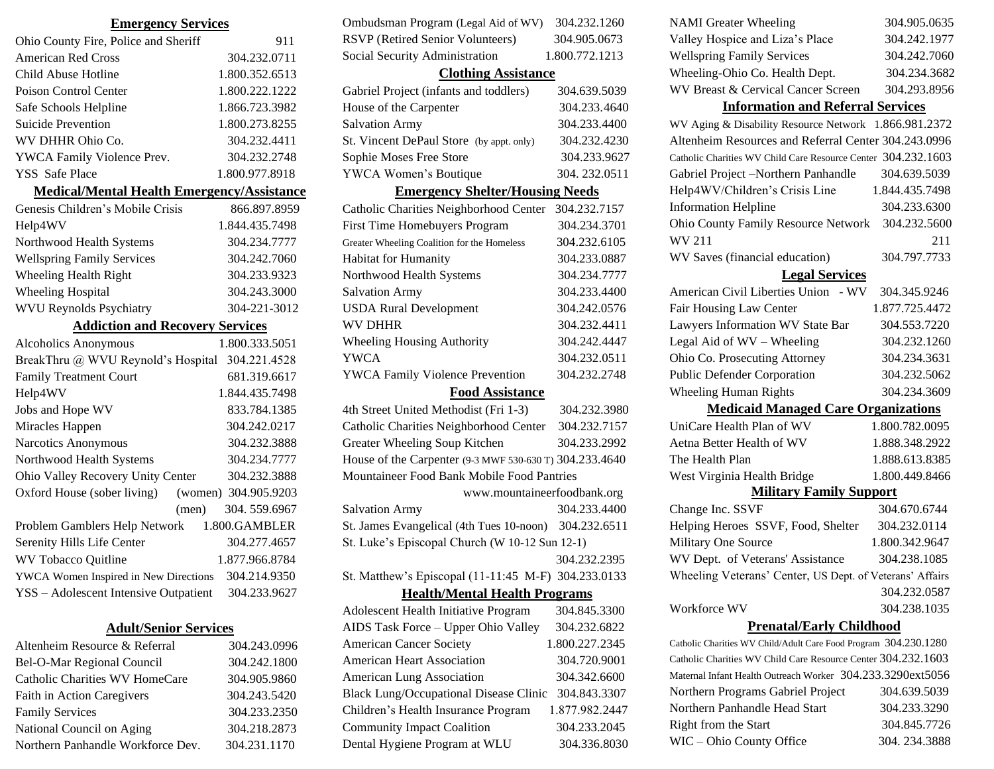| Ohio County Fire, Police and Sheriff              | 911                  |
|---------------------------------------------------|----------------------|
| <b>American Red Cross</b>                         | 304.232.0711         |
| Child Abuse Hotline                               | 1.800.352.6513       |
| Poison Control Center                             | 1.800.222.1222       |
| Safe Schools Helpline                             | 1.866.723.3982       |
| <b>Suicide Prevention</b>                         | 1.800.273.8255       |
| WV DHHR Ohio Co.                                  | 304.232.4411         |
| YWCA Family Violence Prev.                        | 304.232.2748         |
| <b>YSS</b> Safe Place                             | 1.800.977.8918       |
| <b>Medical/Mental Health Emergency/Assistance</b> |                      |
| Genesis Children's Mobile Crisis                  | 866.897.8959         |
| Help4WV                                           | 1.844.435.7498       |
| Northwood Health Systems                          | 304.234.7777         |
| <b>Wellspring Family Services</b>                 | 304.242.7060         |
| Wheeling Health Right                             | 304.233.9323         |
| <b>Wheeling Hospital</b>                          | 304.243.3000         |
| <b>WVU Reynolds Psychiatry</b>                    | 304-221-3012         |
|                                                   |                      |
| <b>Addiction and Recovery Services</b>            |                      |
| <b>Alcoholics Anonymous</b>                       | 1.800.333.5051       |
| BreakThru @ WVU Reynold's Hospital                | 304.221.4528         |
| <b>Family Treatment Court</b>                     | 681.319.6617         |
| Help4WV                                           | 1.844.435.7498       |
| Jobs and Hope WV                                  | 833.784.1385         |
| Miracles Happen                                   | 304.242.0217         |
| Narcotics Anonymous                               | 304.232.3888         |
| Northwood Health Systems                          | 304.234.7777         |
| Ohio Valley Recovery Unity Center                 | 304.232.3888         |
| Oxford House (sober living)                       | (women) 304.905.9203 |
| (men)                                             | 304.559.6967         |
| Problem Gamblers Help Network                     | 1.800.GAMBLER        |
| Serenity Hills Life Center                        | 304.277.4657         |
| WV Tobacco Quitline                               | 1.877.966.8784       |
| YWCA Women Inspired in New Directions             | 304.214.9350         |
| YSS - Adolescent Intensive Outpatient             | 304.233.9627         |

**Emergency Services**

#### **Adult/Senior Services**

| Altenheim Resource & Referral         | 304.243.0996 |
|---------------------------------------|--------------|
| Bel-O-Mar Regional Council            | 304.242.1800 |
| <b>Catholic Charities WV HomeCare</b> | 304.905.9860 |
| Faith in Action Caregivers            | 304.243.5420 |
| <b>Family Services</b>                | 304.233.2350 |
| National Council on Aging             | 304.218.2873 |
| Northern Panhandle Workforce Dev.     | 304.231.1170 |

| Ombudsman Program (Legal Aid of WV)                     | 304.232.1260   |  |
|---------------------------------------------------------|----------------|--|
| RSVP (Retired Senior Volunteers)                        | 304.905.0673   |  |
| Social Security Administration                          | 1.800.772.1213 |  |
| <b>Clothing Assistance</b>                              |                |  |
| Gabriel Project (infants and toddlers)                  | 304.639.5039   |  |
| House of the Carpenter                                  | 304.233.4640   |  |
| <b>Salvation Army</b>                                   | 304.233.4400   |  |
| St. Vincent DePaul Store (by appt. only)                | 304.232.4230   |  |
| Sophie Moses Free Store                                 | 304.233.9627   |  |
| YWCA Women's Boutique                                   | 304.232.0511   |  |
| <b>Emergency Shelter/Housing Needs</b>                  |                |  |
| Catholic Charities Neighborhood Center                  | 304.232.7157   |  |
| First Time Homebuyers Program                           | 304.234.3701   |  |
| Greater Wheeling Coalition for the Homeless             | 304.232.6105   |  |
| Habitat for Humanity                                    | 304.233.0887   |  |
| Northwood Health Systems                                | 304.234.7777   |  |
| <b>Salvation Army</b>                                   | 304.233.4400   |  |
| <b>USDA Rural Development</b>                           | 304.242.0576   |  |
| <b>WV DHHR</b>                                          | 304.232.4411   |  |
| Wheeling Housing Authority                              | 304.242.4447   |  |
| <b>YWCA</b>                                             | 304.232.0511   |  |
| <b>YWCA Family Violence Prevention</b>                  | 304.232.2748   |  |
| <b>Food Assistance</b>                                  |                |  |
| 4th Street United Methodist (Fri 1-3)                   | 304.232.3980   |  |
| Catholic Charities Neighborhood Center                  | 304.232.7157   |  |
| Greater Wheeling Soup Kitchen                           | 304.233.2992   |  |
| House of the Carpenter (9-3 MWF 530-630 T) 304.233.4640 |                |  |
| Mountaineer Food Bank Mobile Food Pantries              |                |  |
| www.mountaineerfoodbank.org                             |                |  |
| <b>Salvation Army</b>                                   | 304.233.4400   |  |
| St. James Evangelical (4th Tues 10-noon) 304.232.6511   |                |  |
| St. Luke's Episcopal Church (W 10-12 Sun 12-1)          |                |  |
|                                                         | 304.232.2395   |  |
| St. Matthew's Episcopal (11-11:45 M-F) 304.233.0133     |                |  |
| <b>Health/Mental Health Programs</b>                    |                |  |
| Adolescent Health Initiative Program                    | 304.845.3300   |  |
| AIDS Task Force - Upper Ohio Valley                     | 304.232.6822   |  |
| <b>American Cancer Society</b>                          | 1.800.227.2345 |  |
| <b>American Heart Association</b>                       | 304.720.9001   |  |
| <b>American Lung Association</b>                        | 304.342.6600   |  |

Black Lung/Occupational Disease Clinic 304.843.3307 Children's Health Insurance Program 1.877.982.2447 Community Impact Coalition 304.233.2045 Dental Hygiene Program at WLU 304.336.8030

| <b>NAMI</b> Greater Wheeling                                  | 304.905.0635   |  |
|---------------------------------------------------------------|----------------|--|
| Valley Hospice and Liza's Place                               | 304.242.1977   |  |
| <b>Wellspring Family Services</b>                             | 304.242.7060   |  |
| Wheeling-Ohio Co. Health Dept.                                | 304.234.3682   |  |
| WV Breast & Cervical Cancer Screen                            | 304.293.8956   |  |
| <b>Information and Referral Services</b>                      |                |  |
| WV Aging & Disability Resource Network 1.866.981.2372         |                |  |
| Altenheim Resources and Referral Center 304.243.0996          |                |  |
| Catholic Charities WV Child Care Resource Center 304.232.1603 |                |  |
| Gabriel Project –Northern Panhandle                           | 304.639.5039   |  |
| Help4WV/Children's Crisis Line                                | 1.844.435.7498 |  |
| <b>Information Helpline</b>                                   | 304.233.6300   |  |
| <b>Ohio County Family Resource Network</b>                    | 304.232.5600   |  |
| WV 211                                                        | 211            |  |
| WV Saves (financial education)                                | 304.797.7733   |  |
| <b>Legal Services</b>                                         |                |  |
| American Civil Liberties Union - WV                           | 304.345.9246   |  |
| Fair Housing Law Center                                       | 1.877.725.4472 |  |
| Lawyers Information WV State Bar                              | 304.553.7220   |  |
| Legal Aid of WV - Wheeling                                    | 304.232.1260   |  |
| Ohio Co. Prosecuting Attorney                                 | 304.234.3631   |  |
| <b>Public Defender Corporation</b>                            | 304.232.5062   |  |

#### **Medicaid Managed Care Organizations**

Wheeling Human Rights 304.234.3609

| <b>Executative Internation</b>                           |                |  |
|----------------------------------------------------------|----------------|--|
| UniCare Health Plan of WV                                | 1.800.782.0095 |  |
| Aetna Better Health of WV                                | 1.888.348.2922 |  |
| The Health Plan                                          | 1.888.613.8385 |  |
| West Virginia Health Bridge                              | 1.800.449.8466 |  |
| <b>Military Family Support</b>                           |                |  |
| Change Inc. SSVF                                         | 304.670.6744   |  |
| Helping Heroes SSVF, Food, Shelter                       | 304.232.0114   |  |
| Military One Source                                      | 1.800.342.9647 |  |
| WV Dept. of Veterans' Assistance                         | 304.238.1085   |  |
| Wheeling Veterans' Center, US Dept. of Veterans' Affairs |                |  |
|                                                          | 304.232.0587   |  |
| Workforce WV                                             | 304.238.1035   |  |

#### **Prenatal/Early Childhood**

Catholic Charities WV Child/Adult Care Food Program 304.230.1280 Catholic Charities WV Child Care Resource Center 304.232.1603 Maternal Infant Health Outreach Worker 304.233.3290ext5056 Northern Programs Gabriel Project 304.639.5039 Northern Panhandle Head Start 304.233.3290 Right from the Start 304.845.7726 WIC – Ohio County Office 304. 234.3888